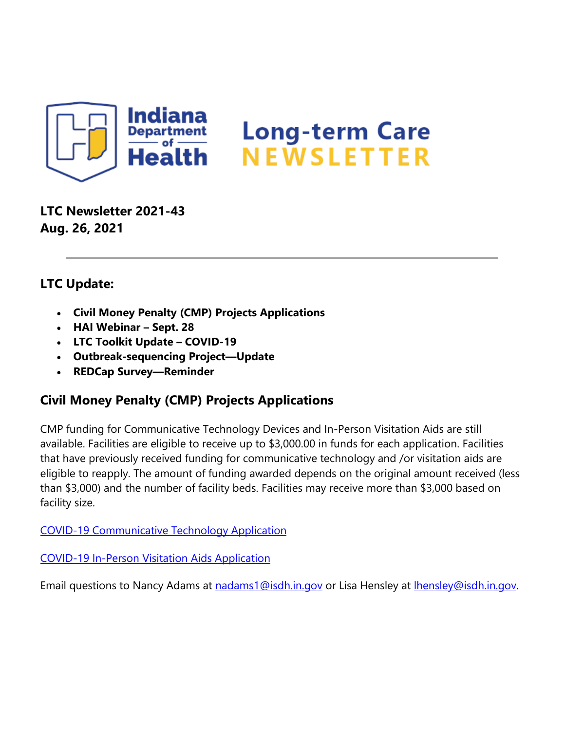

**LTC Newsletter 2021-43 Aug. 26, 2021**

#### **LTC Update:**

- **Civil Money Penalty (CMP) Projects Applications**
- **HAI Webinar – Sept. 28**
- **LTC Toolkit Update – COVID-19**
- **Outbreak-sequencing Project—Update**
- **REDCap Survey—Reminder**

## **Civil Money Penalty (CMP) Projects Applications**

CMP funding for Communicative Technology Devices and In-Person Visitation Aids are still available. Facilities are eligible to receive up to \$3,000.00 in funds for each application. Facilities that have previously received funding for communicative technology and /or visitation aids are eligible to reapply. The amount of funding awarded depends on the original amount received (less than \$3,000) and the number of facility beds. Facilities may receive more than \$3,000 based on facility size.

[COVID-19 Communicative Technology Application](https://lnks.gd/l/eyJhbGciOiJIUzI1NiJ9.eyJidWxsZXRpbl9saW5rX2lkIjoxMDAsInVyaSI6ImJwMjpjbGljayIsImJ1bGxldGluX2lkIjoiMjAyMTA4MjYuNDUwODMyNjEiLCJ1cmwiOiJodHRwczovL2NvbnRlbnQuZ292ZGVsaXZlcnkuY29tL2F0dGFjaG1lbnRzL0lOU0RILzIwMjEvMDgvMjUvZmlsZV9hdHRhY2htZW50cy8xOTE2MTk3L0NPVklELTE5X0FwcGxpY2F0aW9uJTIwVGVtcGxhdGVfX0ZpbmFsXzUwOF8yMDIwMDQxNi5wZGYifQ.U6egiU98a_DYRDPQe2Hl0Z6fqFuUqlARyVoSEOxPjk0/s/1439130268/br/111468125398-l)

[COVID-19 In-Person Visitation Aids Application](https://lnks.gd/l/eyJhbGciOiJIUzI1NiJ9.eyJidWxsZXRpbl9saW5rX2lkIjoxMDEsInVyaSI6ImJwMjpjbGljayIsImJ1bGxldGluX2lkIjoiMjAyMTA4MjYuNDUwODMyNjEiLCJ1cmwiOiJodHRwczovL2NvbnRlbnQuZ292ZGVsaXZlcnkuY29tL2F0dGFjaG1lbnRzL0lOU0RILzIwMjEvMDgvMjUvZmlsZV9hdHRhY2htZW50cy8xOTE2MTk2L0NPVklELTE5X0luLVBlcnNvbiUyMFZpc2l0YXRpb24lMjBBcHBsaWNhdGlvbiUyMFRlbXBsYXRlX1VwZGF0ZWRfMjAyMDEyMTcucGRmIn0.0-nHuZFCBDF3UOC6otnwIlE8fTodeEzRWwhS9o9--4k/s/1439130268/br/111468125398-l)

Email questions to Nancy Adams at [nadams1@isdh.in.gov](mailto:nadams1@isdh.in.gov) or Lisa Hensley at Ihensley@isdh.in.gov.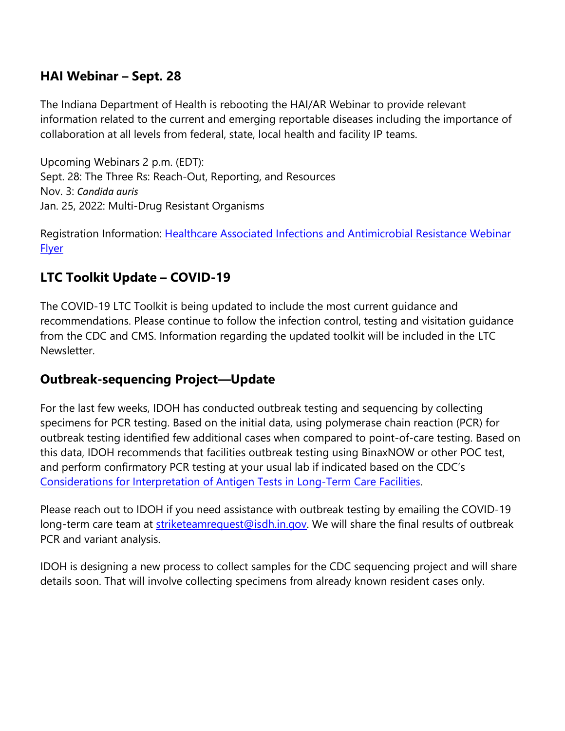### **HAI Webinar – Sept. 28**

The Indiana Department of Health is rebooting the HAI/AR Webinar to provide relevant information related to the current and emerging reportable diseases including the importance of collaboration at all levels from federal, state, local health and facility IP teams.

Upcoming Webinars 2 p.m. (EDT): Sept. 28: The Three Rs: Reach-Out, Reporting, and Resources Nov. 3: *Candida auris* Jan. 25, 2022: Multi-Drug Resistant Organisms

Registration Information: [Healthcare Associated Infections and Antimicrobial Resistance Webinar](https://lnks.gd/l/eyJhbGciOiJIUzI1NiJ9.eyJidWxsZXRpbl9saW5rX2lkIjoxMDIsInVyaSI6ImJwMjpjbGljayIsImJ1bGxldGluX2lkIjoiMjAyMTA4MjYuNDUwODMyNjEiLCJ1cmwiOiJodHRwczovL2NvbnRlbnQuZ292ZGVsaXZlcnkuY29tL2F0dGFjaG1lbnRzL0lOU0RILzIwMjEvMDgvMjYvZmlsZV9hdHRhY2htZW50cy8xOTE2NTUyL0xUQyUyMFdlYmluYXIlMjBGbHllciUyMDguMjUuMjEucGRmIn0.NCVYYl-hl8GP1zceBdNOoHYTjHBbhFN0oI9L1KSpqys/s/1439130268/br/111468125398-l)  **[Flyer](https://lnks.gd/l/eyJhbGciOiJIUzI1NiJ9.eyJidWxsZXRpbl9saW5rX2lkIjoxMDIsInVyaSI6ImJwMjpjbGljayIsImJ1bGxldGluX2lkIjoiMjAyMTA4MjYuNDUwODMyNjEiLCJ1cmwiOiJodHRwczovL2NvbnRlbnQuZ292ZGVsaXZlcnkuY29tL2F0dGFjaG1lbnRzL0lOU0RILzIwMjEvMDgvMjYvZmlsZV9hdHRhY2htZW50cy8xOTE2NTUyL0xUQyUyMFdlYmluYXIlMjBGbHllciUyMDguMjUuMjEucGRmIn0.NCVYYl-hl8GP1zceBdNOoHYTjHBbhFN0oI9L1KSpqys/s/1439130268/br/111468125398-l)** 

## **LTC Toolkit Update – COVID-19**

The COVID-19 LTC Toolkit is being updated to include the most current guidance and recommendations. Please continue to follow the infection control, testing and visitation guidance from the CDC and CMS. Information regarding the updated toolkit will be included in the LTC Newsletter.

#### **Outbreak-sequencing Project—Update**

For the last few weeks, IDOH has conducted outbreak testing and sequencing by collecting specimens for PCR testing. Based on the initial data, using polymerase chain reaction (PCR) for outbreak testing identified few additional cases when compared to point-of-care testing. Based on this data, IDOH recommends that facilities outbreak testing using BinaxNOW or other POC test, and perform confirmatory PCR testing at your usual lab if indicated based on the CDC's [Considerations for Interpretation of Antigen Tests in Long-Term Care Facilities.](https://lnks.gd/l/eyJhbGciOiJIUzI1NiJ9.eyJidWxsZXRpbl9saW5rX2lkIjoxMDMsInVyaSI6ImJwMjpjbGljayIsImJ1bGxldGluX2lkIjoiMjAyMTA4MjYuNDUwODMyNjEiLCJ1cmwiOiJodHRwczovL3d3dy5jb3JvbmF2aXJ1cy5pbi5nb3YvZmlsZXMvdGVzdGluZyUyMGFsZ29yaXRobS5wZGYifQ.UCZjorrDBltmvAdV44ia_uOuGp-7NRBAaf3ZnZFvTrU/s/1439130268/br/111468125398-l)

Please reach out to IDOH if you need assistance with outbreak testing by emailing the COVID-19 long-term care team at [striketeamrequest@isdh.in.gov.](mailto:striketeamrequest@isdh.in.gov) We will share the final results of outbreak PCR and variant analysis.

IDOH is designing a new process to collect samples for the CDC sequencing project and will share details soon. That will involve collecting specimens from already known resident cases only.